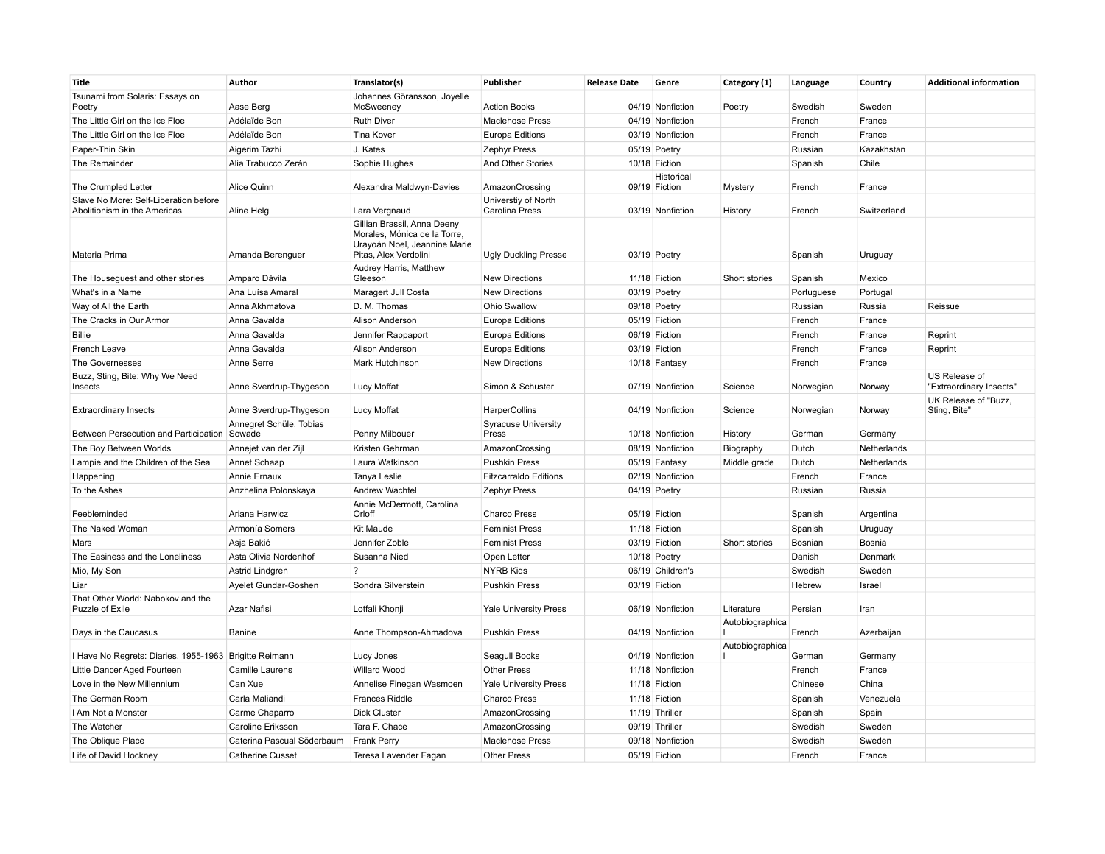| Title                                                                 | Author                            | Translator(s)                                                                                                        | Publisher                             | <b>Release Date</b> | Genre                                | Category (1)    | Language         | Country           | <b>Additional information</b>                   |
|-----------------------------------------------------------------------|-----------------------------------|----------------------------------------------------------------------------------------------------------------------|---------------------------------------|---------------------|--------------------------------------|-----------------|------------------|-------------------|-------------------------------------------------|
| Tsunami from Solaris: Essays on<br>Poetry                             | Aase Berg                         | Johannes Göransson, Joyelle<br>McSweeney                                                                             | <b>Action Books</b>                   |                     | 04/19 Nonfiction                     | Poetry          | Swedish          | Sweden            |                                                 |
| The Little Girl on the Ice Floe                                       | Adélaïde Bon                      | <b>Ruth Diver</b>                                                                                                    | <b>Maclehose Press</b>                |                     | 04/19 Nonfiction                     |                 | French           | France            |                                                 |
| The Little Girl on the Ice Floe                                       | Adélaïde Bon                      | <b>Tina Kover</b>                                                                                                    | <b>Europa Editions</b>                |                     | 03/19 Nonfiction                     |                 | French           | France            |                                                 |
| Paper-Thin Skin                                                       | Aigerim Tazhi                     | J. Kates                                                                                                             | Zephyr Press                          |                     | 05/19 Poetry                         |                 | Russian          | Kazakhstan        |                                                 |
| The Remainder                                                         | Alia Trabucco Zerán               | Sophie Hughes                                                                                                        | And Other Stories                     |                     | 10/18 Fiction                        |                 | Spanish          | Chile             |                                                 |
|                                                                       |                                   |                                                                                                                      |                                       |                     | Historical                           |                 |                  |                   |                                                 |
| The Crumpled Letter                                                   | Alice Quinn                       | Alexandra Maldwyn-Davies                                                                                             | AmazonCrossing                        |                     | 09/19 Fiction                        | Mystery         | French           | France            |                                                 |
| Slave No More: Self-Liberation before<br>Abolitionism in the Americas | Aline Helg                        | Lara Vergnaud                                                                                                        | Universtiy of North<br>Carolina Press |                     | 03/19 Nonfiction                     | History         | French           | Switzerland       |                                                 |
| Materia Prima                                                         | Amanda Berenguer                  | Gillian Brassil, Anna Deeny<br>Morales, Mónica de la Torre,<br>Uravoán Noel, Jeannine Marie<br>Pitas, Alex Verdolini | <b>Ugly Duckling Presse</b>           |                     | 03/19 Poetry                         |                 | Spanish          | Uruguay           |                                                 |
| The Houseguest and other stories                                      | Amparo Dávila                     | Audrey Harris, Matthew<br>Gleeson                                                                                    | <b>New Directions</b>                 |                     | 11/18 Fiction                        | Short stories   | Spanish          | Mexico            |                                                 |
| What's in a Name                                                      | Ana Luísa Amaral                  | Maragert Jull Costa                                                                                                  | <b>New Directions</b>                 |                     | 03/19 Poetry                         |                 | Portuguese       | Portugal          |                                                 |
| Way of All the Earth                                                  | Anna Akhmatova                    | D. M. Thomas                                                                                                         | Ohio Swallow                          |                     | 09/18 Poetry                         |                 | Russian          | Russia            | Reissue                                         |
| The Cracks in Our Armor                                               | Anna Gavalda                      | Alison Anderson                                                                                                      | <b>Europa Editions</b>                |                     | 05/19 Fiction                        |                 | French           | France            |                                                 |
| <b>Billie</b>                                                         | Anna Gavalda                      | Jennifer Rappaport                                                                                                   | <b>Europa Editions</b>                |                     | 06/19 Fiction                        |                 | French           | France            | Reprint                                         |
| French Leave                                                          | Anna Gavalda                      | Alison Anderson                                                                                                      | Europa Editions                       |                     | 03/19 Fiction                        |                 | French           | France            | Reprint                                         |
| The Governesses                                                       | Anne Serre                        | <b>Mark Hutchinson</b>                                                                                               | <b>New Directions</b>                 |                     | 10/18 Fantasy                        |                 | French           | France            |                                                 |
| Buzz, Sting, Bite: Why We Need                                        |                                   |                                                                                                                      |                                       |                     |                                      |                 |                  |                   | US Release of                                   |
| Insects                                                               | Anne Sverdrup-Thygeson            | <b>Lucy Moffat</b>                                                                                                   | Simon & Schuster                      |                     | 07/19 Nonfiction                     | Science         | Norwegian        | Norway            | "Extraordinary Insects"<br>UK Release of "Buzz, |
| <b>Extraordinary Insects</b>                                          | Anne Sverdrup-Thygeson            | <b>Lucy Moffat</b>                                                                                                   | HarperCollins                         |                     | 04/19 Nonfiction                     | Science         | Norwegian        | Norway            | Sting, Bite"                                    |
| Between Persecution and Participation                                 | Annegret Schüle, Tobias<br>Sowade | Penny Milbouer                                                                                                       | <b>Syracuse University</b><br>Press   |                     | 10/18 Nonfiction                     | History         | German           | Germany           |                                                 |
| The Boy Between Worlds                                                | Annejet van der Zijl              | Kristen Gehrman                                                                                                      | AmazonCrossing                        |                     | 08/19 Nonfiction                     | Biography       | Dutch            | Netherlands       |                                                 |
| Lampie and the Children of the Sea                                    | Annet Schaap                      | Laura Watkinson                                                                                                      | <b>Pushkin Press</b>                  |                     | 05/19 Fantasy                        | Middle grade    | Dutch            | Netherlands       |                                                 |
| Happening                                                             | Annie Ernaux                      | Tanya Leslie                                                                                                         | <b>Fitzcarraldo Editions</b>          |                     | 02/19 Nonfiction                     |                 | French           | France            |                                                 |
| To the Ashes                                                          | Anzhelina Polonskaya              | Andrew Wachtel                                                                                                       | Zephyr Press                          |                     | 04/19 Poetry                         |                 | Russian          | Russia            |                                                 |
| Feebleminded                                                          | Ariana Harwicz                    | Annie McDermott, Carolina<br>Orloff                                                                                  | <b>Charco Press</b>                   |                     | 05/19 Fiction                        |                 | Spanish          | Argentina         |                                                 |
| The Naked Woman                                                       | Armonía Somers                    | <b>Kit Maude</b>                                                                                                     | <b>Feminist Press</b>                 |                     | 11/18 Fiction                        |                 | Spanish          | Uruguay           |                                                 |
| Mars                                                                  | Asja Bakić                        | Jennifer Zoble                                                                                                       | <b>Feminist Press</b>                 |                     | 03/19 Fiction                        | Short stories   | Bosnian          | Bosnia            |                                                 |
| The Easiness and the Loneliness                                       | Asta Olivia Nordenhof             | Susanna Nied                                                                                                         | Open Letter                           |                     | 10/18 Poetry                         |                 | Danish           | Denmark           |                                                 |
| Mio, My Son                                                           | Astrid Lindgren                   | $\overline{?}$                                                                                                       | <b>NYRB Kids</b>                      |                     | 06/19 Children's                     |                 | Swedish          | Sweden            |                                                 |
| Liar                                                                  | Ayelet Gundar-Goshen              | Sondra Silverstein                                                                                                   | <b>Pushkin Press</b>                  |                     | 03/19 Fiction                        |                 | Hebrew           | Israel            |                                                 |
| That Other World: Nabokov and the<br>Puzzle of Exile                  | Azar Nafisi                       | Lotfali Khonji                                                                                                       | <b>Yale University Press</b>          |                     | 06/19 Nonfiction                     | Literature      | Persian          | Iran              |                                                 |
| Days in the Caucasus                                                  | Banine                            | Anne Thompson-Ahmadova                                                                                               | <b>Pushkin Press</b>                  |                     | 04/19 Nonfiction                     | Autobiographica | French           | Azerbaijan        |                                                 |
|                                                                       |                                   |                                                                                                                      |                                       |                     |                                      | Autobiographica |                  |                   |                                                 |
| I Have No Regrets: Diaries, 1955-1963 Brigitte Reimann                | Camille Laurens                   | Lucy Jones<br><b>Willard Wood</b>                                                                                    | Seagull Books<br><b>Other Press</b>   |                     | 04/19 Nonfiction<br>11/18 Nonfiction |                 | German<br>French | Germany<br>France |                                                 |
| Little Dancer Aged Fourteen<br>Love in the New Millennium             | Can Xue                           |                                                                                                                      |                                       |                     | 11/18 Fiction                        |                 | Chinese          | China             |                                                 |
|                                                                       |                                   | Annelise Finegan Wasmoen                                                                                             | Yale University Press                 |                     |                                      |                 |                  |                   |                                                 |
| The German Room                                                       | Carla Maliandi                    | <b>Frances Riddle</b>                                                                                                | <b>Charco Press</b>                   |                     | 11/18 Fiction                        |                 | Spanish          | Venezuela         |                                                 |
| I Am Not a Monster                                                    | Carme Chaparro                    | <b>Dick Cluster</b>                                                                                                  | AmazonCrossing                        |                     | 11/19 Thriller                       |                 | Spanish          | Spain             |                                                 |
| The Watcher                                                           | Caroline Eriksson                 | Tara F. Chace                                                                                                        | AmazonCrossing                        |                     | 09/19 Thriller                       |                 | Swedish          | Sweden            |                                                 |
| The Oblique Place                                                     | Caterina Pascual Söderbaum        | <b>Frank Perry</b>                                                                                                   | <b>Maclehose Press</b>                |                     | 09/18 Nonfiction                     |                 | Swedish          | Sweden            |                                                 |
| Life of David Hockney                                                 | <b>Catherine Cusset</b>           | Teresa Lavender Fagan                                                                                                | <b>Other Press</b>                    |                     | 05/19 Fiction                        |                 | French           | France            |                                                 |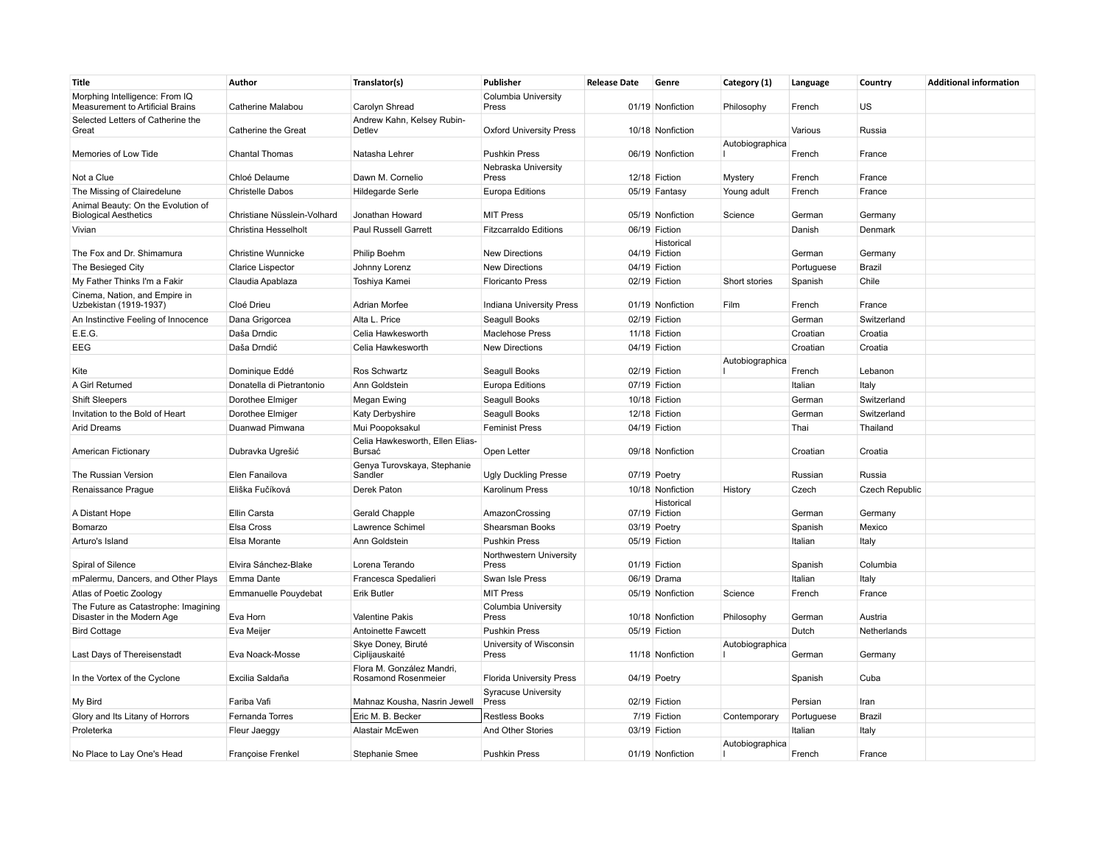| Title                                                                        | Author                      | Translator(s)                                    | Publisher                               | <b>Release Date</b> | Genre                       | Category (1)           | Language         | Country               | <b>Additional information</b> |
|------------------------------------------------------------------------------|-----------------------------|--------------------------------------------------|-----------------------------------------|---------------------|-----------------------------|------------------------|------------------|-----------------------|-------------------------------|
| Morphing Intelligence: From IQ                                               |                             |                                                  | Columbia University                     |                     |                             |                        |                  |                       |                               |
| <b>Measurement to Artificial Brains</b><br>Selected Letters of Catherine the | Catherine Malabou           | Carolyn Shread<br>Andrew Kahn, Kelsey Rubin-     | Press                                   |                     | 01/19 Nonfiction            | Philosophy             | French           | US                    |                               |
| Great                                                                        | Catherine the Great         | Detlev                                           | <b>Oxford University Press</b>          |                     | 10/18 Nonfiction            |                        | Various          | Russia                |                               |
| Memories of Low Tide                                                         | <b>Chantal Thomas</b>       | Natasha Lehrer                                   | <b>Pushkin Press</b>                    |                     | 06/19 Nonfiction            | Autobiographica        | French           | France                |                               |
| Not a Clue                                                                   | Chloé Delaume               | Dawn M. Cornelio                                 | Nebraska University<br>Press            |                     | 12/18 Fiction               |                        |                  | France                |                               |
| The Missing of Clairedelune                                                  | <b>Christelle Dabos</b>     | Hildegarde Serle                                 | Europa Editions                         |                     | 05/19 Fantasy               | Mystery<br>Young adult | French<br>French | France                |                               |
| Animal Beauty: On the Evolution of                                           |                             |                                                  |                                         |                     |                             |                        |                  |                       |                               |
| <b>Biological Aesthetics</b>                                                 | Christiane Nüsslein-Volhard | Jonathan Howard                                  | <b>MIT Press</b>                        |                     | 05/19 Nonfiction            | Science                | German           | Germany               |                               |
| Vivian                                                                       | Christina Hesselholt        | Paul Russell Garrett                             | <b>Fitzcarraldo Editions</b>            |                     | 06/19 Fiction               |                        | Danish           | Denmark               |                               |
| The Fox and Dr. Shimamura                                                    | <b>Christine Wunnicke</b>   | Philip Boehm                                     | <b>New Directions</b>                   |                     | Historical<br>04/19 Fiction |                        | German           | Germany               |                               |
| The Besieged City                                                            | <b>Clarice Lispector</b>    | Johnny Lorenz                                    | <b>New Directions</b>                   |                     | 04/19 Fiction               |                        | Portuguese       | Brazil                |                               |
| My Father Thinks I'm a Fakir                                                 | Claudia Apablaza            | Toshiya Kamei                                    | <b>Floricanto Press</b>                 |                     | 02/19 Fiction               | Short stories          | Spanish          | Chile                 |                               |
| Cinema, Nation, and Empire in                                                |                             |                                                  |                                         |                     |                             |                        |                  |                       |                               |
| Uzbekistan (1919-1937)                                                       | Cloé Drieu                  | Adrian Morfee                                    | <b>Indiana University Press</b>         |                     | 01/19 Nonfiction            | Film                   | French           | France                |                               |
| An Instinctive Feeling of Innocence                                          | Dana Grigorcea              | Alta L. Price                                    | Seagull Books                           |                     | 02/19 Fiction               |                        | German           | Switzerland           |                               |
| E.E.G.                                                                       | Daša Drndic                 | Celia Hawkesworth                                | <b>Maclehose Press</b>                  |                     | 11/18 Fiction               |                        | Croatian         | Croatia               |                               |
| EEG                                                                          | Daša Drndić                 | Celia Hawkesworth                                | <b>New Directions</b>                   |                     | 04/19 Fiction               |                        | Croatian         | Croatia               |                               |
|                                                                              | Dominique Eddé              | Ros Schwartz                                     |                                         |                     | 02/19 Fiction               | Autobiographica        | French           | Lebanon               |                               |
| Kite<br>A Girl Returned                                                      | Donatella di Pietrantonio   | Ann Goldstein                                    | Seagull Books                           |                     | 07/19 Fiction               |                        | Italian          |                       |                               |
| <b>Shift Sleepers</b>                                                        | Dorothee Elmiger            | Megan Ewing                                      | <b>Europa Editions</b><br>Seagull Books |                     | 10/18 Fiction               |                        | German           | Italy<br>Switzerland  |                               |
| Invitation to the Bold of Heart                                              | Dorothee Elmiger            | Katy Derbyshire                                  | Seagull Books                           |                     | 12/18 Fiction               |                        | German           | Switzerland           |                               |
| <b>Arid Dreams</b>                                                           | Duanwad Pimwana             | Mui Poopoksakul                                  | <b>Feminist Press</b>                   |                     | 04/19 Fiction               |                        | Thai             | Thailand              |                               |
|                                                                              |                             | Celia Hawkesworth, Ellen Elias-                  |                                         |                     |                             |                        |                  |                       |                               |
| American Fictionary                                                          | Dubravka Ugrešić            | Bursać                                           | Open Letter                             |                     | 09/18 Nonfiction            |                        | Croatian         | Croatia               |                               |
| The Russian Version                                                          | Elen Fanailova              | Genya Turovskaya, Stephanie<br>Sandler           | <b>Ugly Duckling Presse</b>             |                     | 07/19 Poetry                |                        | Russian          | Russia                |                               |
| Renaissance Prague                                                           | Eliška Fučíková             | Derek Paton                                      | <b>Karolinum Press</b>                  |                     | 10/18 Nonfiction            | History                | Czech            | <b>Czech Republic</b> |                               |
| A Distant Hope                                                               | Ellin Carsta                | Gerald Chapple                                   | AmazonCrossing                          |                     | Historical<br>07/19 Fiction |                        | German           | Germany               |                               |
| Bomarzo                                                                      | Elsa Cross                  | Lawrence Schimel                                 | Shearsman Books                         |                     | 03/19 Poetry                |                        | Spanish          | Mexico                |                               |
| Arturo's Island                                                              | Elsa Morante                | Ann Goldstein                                    | <b>Pushkin Press</b>                    |                     | 05/19 Fiction               |                        | Italian          | Italy                 |                               |
|                                                                              |                             |                                                  | Northwestern University                 |                     |                             |                        |                  |                       |                               |
| Spiral of Silence                                                            | Elvira Sánchez-Blake        | Lorena Terando                                   | Press                                   |                     | 01/19 Fiction               |                        | Spanish          | Columbia              |                               |
| mPalermu, Dancers, and Other Plays                                           | Emma Dante                  | Francesca Spedalieri                             | Swan Isle Press                         |                     | 06/19 Drama                 |                        | Italian          | Italy                 |                               |
| Atlas of Poetic Zoology                                                      | <b>Emmanuelle Pouydebat</b> | <b>Erik Butler</b>                               | <b>MIT Press</b>                        |                     | 05/19 Nonfiction            | Science                | French           | France                |                               |
| The Future as Catastrophe: Imagining<br>Disaster in the Modern Age           | Eva Horn                    | <b>Valentine Pakis</b>                           | Columbia University<br>Press            |                     | 10/18 Nonfiction            | Philosophy             | German           | Austria               |                               |
| <b>Bird Cottage</b>                                                          | Eva Meijer                  | Antoinette Fawcett                               | <b>Pushkin Press</b>                    |                     | 05/19 Fiction               |                        | Dutch            | Netherlands           |                               |
| Last Days of Thereisenstadt                                                  | Eva Noack-Mosse             | Skye Doney, Biruté<br>Ciplijauskaité             | University of Wisconsin<br>Press        |                     | 11/18 Nonfiction            | Autobiographica        | German           | Germany               |                               |
| In the Vortex of the Cyclone                                                 | Excilia Saldaña             | Flora M. González Mandri,<br>Rosamond Rosenmeier | <b>Florida University Press</b>         |                     | 04/19 Poetry                |                        | Spanish          | Cuba                  |                               |
| My Bird                                                                      | Fariba Vafi                 | Mahnaz Kousha, Nasrin Jewell                     | <b>Syracuse University</b><br>Press     |                     | 02/19 Fiction               |                        | Persian          | Iran                  |                               |
| Glory and Its Litany of Horrors                                              | Fernanda Torres             | Eric M. B. Becker                                | <b>Restless Books</b>                   |                     | 7/19 Fiction                | Contemporary           | Portuguese       | Brazil                |                               |
| Proleterka                                                                   | Fleur Jaeggy                | Alastair McEwen                                  | And Other Stories                       |                     | 03/19 Fiction               |                        | Italian          | Italy                 |                               |
|                                                                              |                             |                                                  |                                         |                     |                             | Autobiographica        |                  |                       |                               |
| No Place to Lay One's Head                                                   | <b>Françoise Frenkel</b>    | Stephanie Smee                                   | <b>Pushkin Press</b>                    |                     | 01/19 Nonfiction            |                        | French           | France                |                               |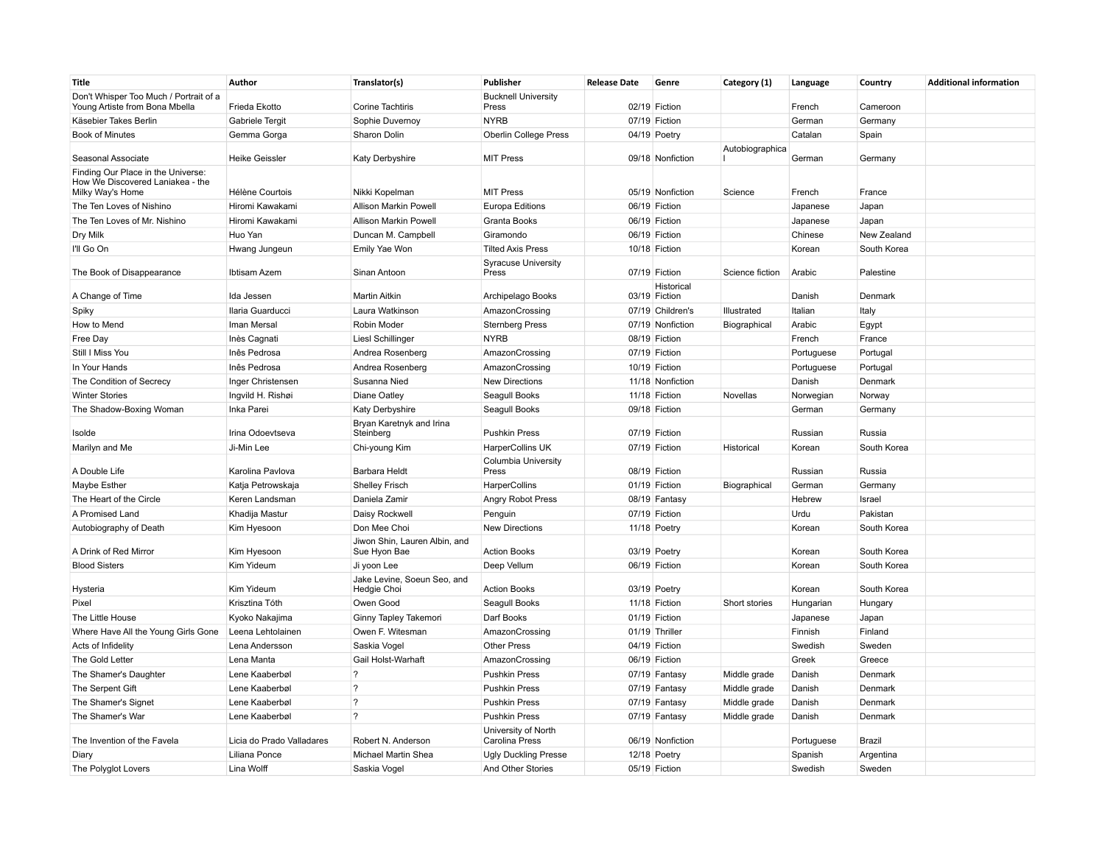| Title                                                                                      | Author                    | Translator(s)                                 | Publisher                           | <b>Release Date</b> | Genre                       | Category (1)    | Language   | Country     | <b>Additional information</b> |
|--------------------------------------------------------------------------------------------|---------------------------|-----------------------------------------------|-------------------------------------|---------------------|-----------------------------|-----------------|------------|-------------|-------------------------------|
| Don't Whisper Too Much / Portrait of a<br>Young Artiste from Bona Mbella                   | Frieda Ekotto             | Corine Tachtiris                              | <b>Bucknell University</b><br>Press |                     | 02/19 Fiction               |                 | French     | Cameroon    |                               |
| Käsebier Takes Berlin                                                                      | Gabriele Tergit           | Sophie Duvernoy                               | <b>NYRB</b>                         |                     | 07/19 Fiction               |                 | German     | Germany     |                               |
| <b>Book of Minutes</b>                                                                     | Gemma Gorga               | Sharon Dolin                                  | <b>Oberlin College Press</b>        |                     | 04/19 Poetry                |                 | Catalan    | Spain       |                               |
| Seasonal Associate                                                                         | <b>Heike Geissler</b>     | <b>Katy Derbyshire</b>                        | <b>MIT Press</b>                    |                     | 09/18 Nonfiction            | Autobiographica | German     | Germany     |                               |
| Finding Our Place in the Universe:<br>How We Discovered Laniakea - the<br>Milky Way's Home | Hélène Courtois           | Nikki Kopelman                                | <b>MIT Press</b>                    |                     | 05/19 Nonfiction            | Science         | French     | France      |                               |
| The Ten Loves of Nishino                                                                   | Hiromi Kawakami           | Allison Markin Powell                         | <b>Europa Editions</b>              |                     | 06/19 Fiction               |                 | Japanese   | Japan       |                               |
| The Ten Loves of Mr. Nishino                                                               | Hiromi Kawakami           | Allison Markin Powell                         | Granta Books                        |                     | 06/19 Fiction               |                 | Japanese   | Japan       |                               |
| Dry Milk                                                                                   | Huo Yan                   | Duncan M. Campbell                            | Giramondo                           |                     | 06/19 Fiction               |                 | Chinese    | New Zealand |                               |
| I'll Go On                                                                                 | Hwang Jungeun             | Emily Yae Won                                 | <b>Tilted Axis Press</b>            |                     | 10/18 Fiction               |                 | Korean     | South Korea |                               |
| The Book of Disappearance                                                                  | Ibtisam Azem              | Sinan Antoon                                  | <b>Syracuse University</b><br>Press |                     | 07/19 Fiction               | Science fiction | Arabic     | Palestine   |                               |
| A Change of Time                                                                           | Ida Jessen                | <b>Martin Aitkin</b>                          | Archipelago Books                   |                     | Historical<br>03/19 Fiction |                 | Danish     | Denmark     |                               |
| Spiky                                                                                      | Ilaria Guarducci          | Laura Watkinson                               | AmazonCrossing                      |                     | 07/19 Children's            | Illustrated     | Italian    | Italy       |                               |
| How to Mend                                                                                | Iman Mersal               | Robin Moder                                   | <b>Sternberg Press</b>              |                     | 07/19 Nonfiction            | Biographical    | Arabic     | Egypt       |                               |
| Free Day                                                                                   | Inès Cagnati              | <b>LiesI Schillinger</b>                      | <b>NYRB</b>                         |                     | 08/19 Fiction               |                 | French     | France      |                               |
| Still I Miss You                                                                           | Inês Pedrosa              | Andrea Rosenberg                              | AmazonCrossing                      |                     | 07/19 Fiction               |                 | Portuguese | Portugal    |                               |
| In Your Hands                                                                              | Inês Pedrosa              | Andrea Rosenberg                              | AmazonCrossing                      |                     | 10/19 Fiction               |                 | Portuguese | Portugal    |                               |
| The Condition of Secrecy                                                                   | Inger Christensen         | Susanna Nied                                  | New Directions                      |                     | 11/18 Nonfiction            |                 | Danish     | Denmark     |                               |
| <b>Winter Stories</b>                                                                      | Ingvild H. Rishøi         | Diane Oatley                                  | Seagull Books                       |                     | 11/18 Fiction               | Novellas        | Norwegian  | Norway      |                               |
| The Shadow-Boxing Woman                                                                    | Inka Parei                | Katy Derbyshire                               | Seagull Books                       |                     | 09/18 Fiction               |                 | German     | Germany     |                               |
| Isolde                                                                                     | Irina Odoevtseva          | Bryan Karetnyk and Irina<br>Steinberg         | <b>Pushkin Press</b>                |                     | 07/19 Fiction               |                 | Russian    | Russia      |                               |
| Marilyn and Me                                                                             | Ji-Min Lee                | Chi-young Kim                                 | <b>HarperCollins UK</b>             |                     | 07/19 Fiction               | Historical      | Korean     | South Korea |                               |
| A Double Life                                                                              | Karolina Pavlova          | Barbara Heldt                                 | Columbia University<br>Press        |                     | 08/19 Fiction               |                 | Russian    | Russia      |                               |
| Maybe Esther                                                                               | Katja Petrowskaja         | <b>Shelley Frisch</b>                         | HarperCollins                       |                     | 01/19 Fiction               | Biographical    | German     | Germany     |                               |
| The Heart of the Circle                                                                    | Keren Landsman            | Daniela Zamir                                 | Angry Robot Press                   |                     | 08/19 Fantasy               |                 | Hebrew     | Israel      |                               |
| A Promised Land                                                                            | Khadija Mastur            | Daisy Rockwell                                | Penguin                             |                     | 07/19 Fiction               |                 | Urdu       | Pakistan    |                               |
| Autobiography of Death                                                                     | Kim Hyesoon               | Don Mee Choi                                  | <b>New Directions</b>               |                     | 11/18 Poetry                |                 | Korean     | South Korea |                               |
| A Drink of Red Mirror                                                                      | Kim Hyesoon               | Jiwon Shin, Lauren Albin, and<br>Sue Hyon Bae | <b>Action Books</b>                 |                     | 03/19 Poetry                |                 | Korean     | South Korea |                               |
| <b>Blood Sisters</b>                                                                       | Kim Yideum                | Ji yoon Lee                                   | Deep Vellum                         |                     | 06/19 Fiction               |                 | Korean     | South Korea |                               |
| Hysteria                                                                                   | Kim Yideum                | Jake Levine, Soeun Seo, and<br>Hedgie Choi    | <b>Action Books</b>                 |                     | 03/19 Poetry                |                 | Korean     | South Korea |                               |
| Pixel                                                                                      | Krisztina Tóth            | Owen Good                                     | Seagull Books                       |                     | 11/18 Fiction               | Short stories   | Hungarian  | Hungary     |                               |
| The Little House                                                                           | Kyoko Nakajima            | Ginny Tapley Takemori                         | Darf Books                          |                     | 01/19 Fiction               |                 | Japanese   | Japan       |                               |
| Where Have All the Young Girls Gone                                                        | Leena Lehtolainen         | Owen F. Witesman                              | AmazonCrossing                      |                     | 01/19 Thriller              |                 | Finnish    | Finland     |                               |
| Acts of Infidelity                                                                         | Lena Andersson            | Saskia Vogel                                  | <b>Other Press</b>                  |                     | 04/19 Fiction               |                 | Swedish    | Sweden      |                               |
| The Gold Letter                                                                            | Lena Manta                | Gail Holst-Warhaft                            | AmazonCrossing                      |                     | 06/19 Fiction               |                 | Greek      | Greece      |                               |
| The Shamer's Daughter                                                                      | Lene Kaaberbøl            | $\overline{?}$                                | <b>Pushkin Press</b>                |                     | 07/19 Fantasy               | Middle grade    | Danish     | Denmark     |                               |
| The Serpent Gift                                                                           | Lene Kaaberbøl            | $\overline{?}$                                | <b>Pushkin Press</b>                |                     | 07/19 Fantasy               | Middle grade    | Danish     | Denmark     |                               |
| The Shamer's Signet                                                                        | Lene Kaaberbøl            | $\overline{?}$                                | <b>Pushkin Press</b>                |                     | 07/19 Fantasy               | Middle grade    | Danish     | Denmark     |                               |
| The Shamer's War                                                                           | Lene Kaaberbøl            | $\overline{?}$                                | <b>Pushkin Press</b>                |                     | 07/19 Fantasy               | Middle grade    | Danish     | Denmark     |                               |
|                                                                                            |                           |                                               | University of North                 |                     |                             |                 |            |             |                               |
| The Invention of the Favela                                                                | Licia do Prado Valladares | Robert N. Anderson                            | Carolina Press                      |                     | 06/19 Nonfiction            |                 | Portuguese | Brazil      |                               |
| Diary                                                                                      | Liliana Ponce             | <b>Michael Martin Shea</b>                    | <b>Ugly Duckling Presse</b>         |                     | 12/18 Poetry                |                 | Spanish    | Argentina   |                               |
| The Polyglot Lovers                                                                        | Lina Wolff                | Saskia Vogel                                  | And Other Stories                   |                     | 05/19 Fiction               |                 | Swedish    | Sweden      |                               |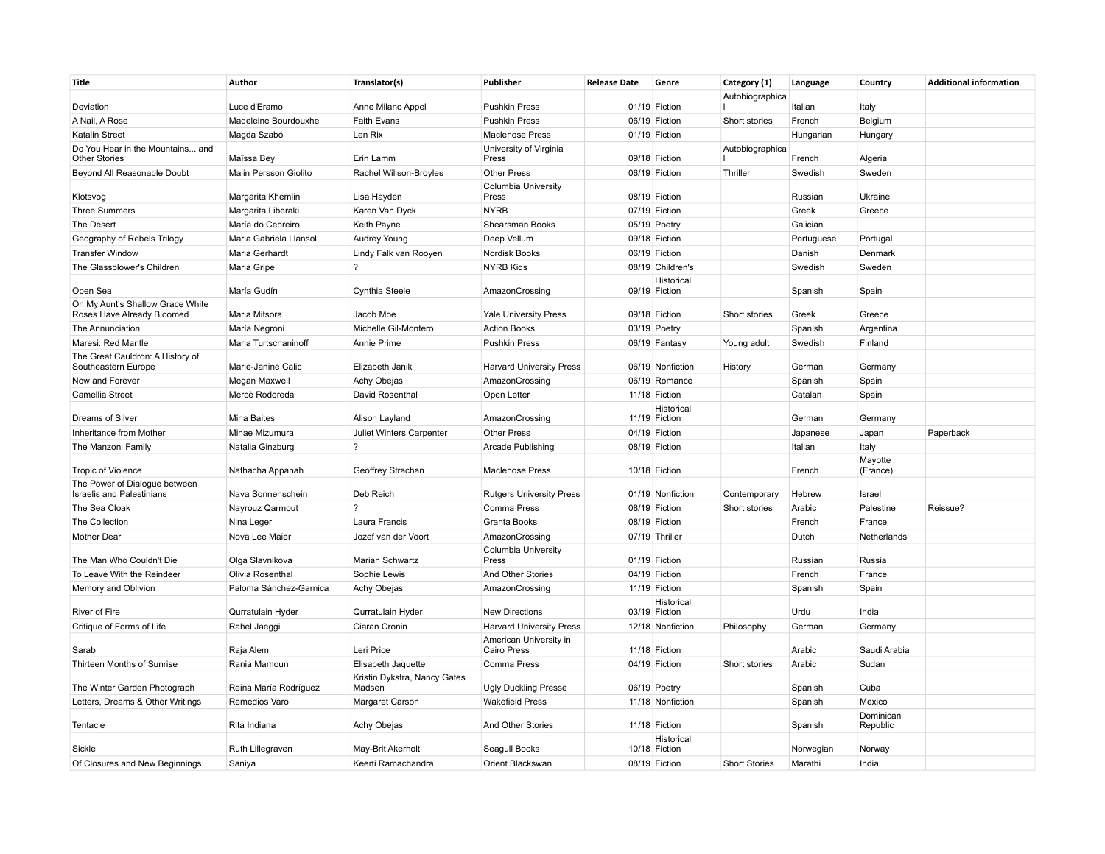| Autobiographica<br>Deviation<br>Luce d'Eramo<br>Anne Milano Appel<br><b>Pushkin Press</b><br>01/19 Fiction<br>Italian<br>Italy<br>Madeleine Bourdouxhe<br>Short stories<br>A Nail, A Rose<br><b>Faith Evans</b><br><b>Pushkin Press</b><br>06/19 Fiction<br>French<br>Belgium<br><b>Katalin Street</b><br>Len Rix<br><b>Maclehose Press</b><br>Hungarian<br>Magda Szabó<br>01/19 Fiction<br>Hungary<br>Do You Hear in the Mountains and<br>University of Virginia<br>Autobiographica<br><b>Other Stories</b><br>Maïssa Bey<br>Erin Lamm<br>Press<br>09/18 Fiction<br>French<br>Algeria<br>Beyond All Reasonable Doubt<br>Malin Persson Giolito<br>Rachel Willson-Broyles<br><b>Other Press</b><br>06/19 Fiction<br>Thriller<br>Swedish<br>Sweden<br>Columbia University<br>Klotsvog<br>Margarita Khemlin<br>Lisa Hayden<br>Press<br>08/19 Fiction<br>Russian<br>Ukraine<br><b>NYRB</b><br>07/19 Fiction<br>Greek<br><b>Three Summers</b><br>Margarita Liberaki<br>Karen Van Dyck<br>Greece<br>Galician<br>The Desert<br>María do Cebreiro<br>Keith Payne<br>Shearsman Books<br>05/19 Poetry<br>Geography of Rebels Trilogy<br>Maria Gabriela Llansol<br><b>Audrey Young</b><br>Deep Vellum<br>09/18 Fiction<br>Portuguese<br>Portugal<br><b>Transfer Window</b><br>Maria Gerhardt<br>Lindy Falk van Rooyen<br>Nordisk Books<br>06/19 Fiction<br>Danish<br>Denmark<br>The Glassblower's Children<br>$\overline{?}$<br><b>NYRB Kids</b><br>08/19 Children's<br>Swedish<br>Maria Gripe<br>Sweden<br>Historical<br>Open Sea<br>María Gudín<br>Cynthia Steele<br>AmazonCrossing<br>09/19 Fiction<br>Spanish<br>Spain<br>On My Aunt's Shallow Grace White<br>Roses Have Already Bloomed<br><b>Yale University Press</b><br>Maria Mitsora<br>Jacob Moe<br>09/18 Fiction<br>Short stories<br>Greek<br>Greece<br>The Annunciation<br>María Negroni<br>Michelle Gil-Montero<br><b>Action Books</b><br>03/19 Poetry<br>Spanish<br>Argentina<br>Maresi: Red Mantle<br>Maria Turtschaninoff<br>Annie Prime<br><b>Pushkin Press</b><br>06/19 Fantasy<br>Young adult<br>Swedish<br>Finland<br>The Great Cauldron: A History of<br>Southeastern Europe<br>Marie-Janine Calic<br>Elizabeth Janik<br><b>Harvard University Press</b><br>06/19 Nonfiction<br>German<br>History<br>Germany<br>Now and Forever<br>Megan Maxwell<br>Achy Obejas<br>AmazonCrossing<br>06/19 Romance<br>Spanish<br>Spain<br>Camellia Street<br>Mercè Rodoreda<br>David Rosenthal<br>Open Letter<br>11/18 Fiction<br>Catalan<br>Spain<br>Historical<br>Dreams of Silver<br><b>Mina Baites</b><br>Alison Layland<br>AmazonCrossing<br>11/19 Fiction<br>German<br>Germany<br><b>Other Press</b><br>Paperback<br>Inheritance from Mother<br>Minae Mizumura<br>Juliet Winters Carpenter<br>04/19 Fiction<br>Japanese<br>Japan<br>$\overline{?}$<br>Arcade Publishing<br>08/19 Fiction<br>Italian<br>The Manzoni Family<br>Natalia Ginzburg<br>Italy<br>Mayotte<br><b>Tropic of Violence</b><br>Nathacha Appanah<br>Geoffrey Strachan<br><b>Maclehose Press</b><br>10/18 Fiction<br>French<br>(France)<br>The Power of Dialogue between<br><b>Israelis and Palestinians</b><br>Nava Sonnenschein<br>Deb Reich<br><b>Rutgers University Press</b><br>01/19 Nonfiction<br>Contemporary<br>Hebrew<br>Israel<br>$\overline{?}$<br>The Sea Cloak<br>Nayrouz Qarmout<br>Comma Press<br>08/19 Fiction<br>Short stories<br>Arabic<br>Palestine<br>Reissue?<br>The Collection<br>Laura Francis<br>French<br>Nina Leger<br>Granta Books<br>08/19 Fiction<br>France<br>Dutch<br>Netherlands<br>Mother Dear<br>Nova Lee Maier<br>Jozef van der Voort<br>AmazonCrossing<br>07/19 Thriller<br>Columbia University<br>The Man Who Couldn't Die<br>Olga Slavnikova<br><b>Marian Schwartz</b><br>Press<br>01/19 Fiction<br>Russian<br>Russia<br>French<br>To Leave With the Reindeer<br>Olivia Rosenthal<br>Sophie Lewis<br>And Other Stories<br>04/19 Fiction<br>France<br>Memory and Oblivion<br>Paloma Sánchez-Garnica<br>Achy Obejas<br>11/19 Fiction<br>Spanish<br>Spain<br>AmazonCrossing<br>Historical<br>River of Fire<br>03/19 Fiction<br>Urdu<br>Qurratulain Hyder<br>Qurratulain Hyder<br><b>New Directions</b><br>India<br>Critique of Forms of Life<br>Rahel Jaeggi<br>Ciaran Cronin<br><b>Harvard University Press</b><br>12/18 Nonfiction<br>Philosophy<br>German<br>Germany<br>American University in<br>Raja Alem<br>Leri Price<br>Arabic<br>Saudi Arabia<br>Sarab<br>Cairo Press<br>11/18 Fiction<br>Thirteen Months of Sunrise<br>Rania Mamoun<br>Comma Press<br>04/19 Fiction<br>Arabic<br>Sudan<br>Elisabeth Jaquette<br>Short stories<br>Kristin Dykstra, Nancy Gates<br>The Winter Garden Photograph<br>Reina María Rodríguez<br><b>Ugly Duckling Presse</b><br>Cuba<br>Madsen<br>06/19 Poetry<br>Spanish<br>Letters, Dreams & Other Writings<br>Remedios Varo<br><b>Margaret Carson</b><br><b>Wakefield Press</b><br>11/18 Nonfiction<br>Spanish<br>Mexico<br>Dominican<br>Rita Indiana<br>Achy Obejas<br>And Other Stories<br>11/18 Fiction<br>Republic<br>Tentacle<br>Spanish<br>Historical<br>Sickle<br>Ruth Lillegraven<br>May-Brit Akerholt<br>Seagull Books<br>10/18 Fiction<br>Norwegian<br>Norway<br>Orient Blackswan<br><b>Short Stories</b><br>India<br>Of Closures and New Beginnings<br>Saniya<br>Keerti Ramachandra<br>08/19 Fiction<br>Marathi | <b>Title</b> | Author | Translator(s) | Publisher | <b>Release Date</b> | Genre | Category (1) | Language | Country | <b>Additional information</b> |
|-----------------------------------------------------------------------------------------------------------------------------------------------------------------------------------------------------------------------------------------------------------------------------------------------------------------------------------------------------------------------------------------------------------------------------------------------------------------------------------------------------------------------------------------------------------------------------------------------------------------------------------------------------------------------------------------------------------------------------------------------------------------------------------------------------------------------------------------------------------------------------------------------------------------------------------------------------------------------------------------------------------------------------------------------------------------------------------------------------------------------------------------------------------------------------------------------------------------------------------------------------------------------------------------------------------------------------------------------------------------------------------------------------------------------------------------------------------------------------------------------------------------------------------------------------------------------------------------------------------------------------------------------------------------------------------------------------------------------------------------------------------------------------------------------------------------------------------------------------------------------------------------------------------------------------------------------------------------------------------------------------------------------------------------------------------------------------------------------------------------------------------------------------------------------------------------------------------------------------------------------------------------------------------------------------------------------------------------------------------------------------------------------------------------------------------------------------------------------------------------------------------------------------------------------------------------------------------------------------------------------------------------------------------------------------------------------------------------------------------------------------------------------------------------------------------------------------------------------------------------------------------------------------------------------------------------------------------------------------------------------------------------------------------------------------------------------------------------------------------------------------------------------------------------------------------------------------------------------------------------------------------------------------------------------------------------------------------------------------------------------------------------------------------------------------------------------------------------------------------------------------------------------------------------------------------------------------------------------------------------------------------------------------------------------------------------------------------------------------------------------------------------------------------------------------------------------------------------------------------------------------------------------------------------------------------------------------------------------------------------------------------------------------------------------------------------------------------------------------------------------------------------------------------------------------------------------------------------------------------------------------------------------------------------------------------------------------------------------------------------------------------------------------------------------------------------------------------------------------------------------------------------------------------------------------------------------------------------------------------------------------------------------------------------------------------------------------------------------------------------------------------------------------------------------------------------------------------------------------------------------------------------------------------------------------------------------------------------------------------------------------------------------------------------------------------------------------------------------------------------------------------------------------------------------------------------------------------------------------------------------------------------------------------------------------------------------|--------------|--------|---------------|-----------|---------------------|-------|--------------|----------|---------|-------------------------------|
|                                                                                                                                                                                                                                                                                                                                                                                                                                                                                                                                                                                                                                                                                                                                                                                                                                                                                                                                                                                                                                                                                                                                                                                                                                                                                                                                                                                                                                                                                                                                                                                                                                                                                                                                                                                                                                                                                                                                                                                                                                                                                                                                                                                                                                                                                                                                                                                                                                                                                                                                                                                                                                                                                                                                                                                                                                                                                                                                                                                                                                                                                                                                                                                                                                                                                                                                                                                                                                                                                                                                                                                                                                                                                                                                                                                                                                                                                                                                                                                                                                                                                                                                                                                                                                                                                                                                                                                                                                                                                                                                                                                                                                                                                                                                                                                                                                                                                                                                                                                                                                                                                                                                                                                                                                                                                                                       |              |        |               |           |                     |       |              |          |         |                               |
|                                                                                                                                                                                                                                                                                                                                                                                                                                                                                                                                                                                                                                                                                                                                                                                                                                                                                                                                                                                                                                                                                                                                                                                                                                                                                                                                                                                                                                                                                                                                                                                                                                                                                                                                                                                                                                                                                                                                                                                                                                                                                                                                                                                                                                                                                                                                                                                                                                                                                                                                                                                                                                                                                                                                                                                                                                                                                                                                                                                                                                                                                                                                                                                                                                                                                                                                                                                                                                                                                                                                                                                                                                                                                                                                                                                                                                                                                                                                                                                                                                                                                                                                                                                                                                                                                                                                                                                                                                                                                                                                                                                                                                                                                                                                                                                                                                                                                                                                                                                                                                                                                                                                                                                                                                                                                                                       |              |        |               |           |                     |       |              |          |         |                               |
|                                                                                                                                                                                                                                                                                                                                                                                                                                                                                                                                                                                                                                                                                                                                                                                                                                                                                                                                                                                                                                                                                                                                                                                                                                                                                                                                                                                                                                                                                                                                                                                                                                                                                                                                                                                                                                                                                                                                                                                                                                                                                                                                                                                                                                                                                                                                                                                                                                                                                                                                                                                                                                                                                                                                                                                                                                                                                                                                                                                                                                                                                                                                                                                                                                                                                                                                                                                                                                                                                                                                                                                                                                                                                                                                                                                                                                                                                                                                                                                                                                                                                                                                                                                                                                                                                                                                                                                                                                                                                                                                                                                                                                                                                                                                                                                                                                                                                                                                                                                                                                                                                                                                                                                                                                                                                                                       |              |        |               |           |                     |       |              |          |         |                               |
|                                                                                                                                                                                                                                                                                                                                                                                                                                                                                                                                                                                                                                                                                                                                                                                                                                                                                                                                                                                                                                                                                                                                                                                                                                                                                                                                                                                                                                                                                                                                                                                                                                                                                                                                                                                                                                                                                                                                                                                                                                                                                                                                                                                                                                                                                                                                                                                                                                                                                                                                                                                                                                                                                                                                                                                                                                                                                                                                                                                                                                                                                                                                                                                                                                                                                                                                                                                                                                                                                                                                                                                                                                                                                                                                                                                                                                                                                                                                                                                                                                                                                                                                                                                                                                                                                                                                                                                                                                                                                                                                                                                                                                                                                                                                                                                                                                                                                                                                                                                                                                                                                                                                                                                                                                                                                                                       |              |        |               |           |                     |       |              |          |         |                               |
|                                                                                                                                                                                                                                                                                                                                                                                                                                                                                                                                                                                                                                                                                                                                                                                                                                                                                                                                                                                                                                                                                                                                                                                                                                                                                                                                                                                                                                                                                                                                                                                                                                                                                                                                                                                                                                                                                                                                                                                                                                                                                                                                                                                                                                                                                                                                                                                                                                                                                                                                                                                                                                                                                                                                                                                                                                                                                                                                                                                                                                                                                                                                                                                                                                                                                                                                                                                                                                                                                                                                                                                                                                                                                                                                                                                                                                                                                                                                                                                                                                                                                                                                                                                                                                                                                                                                                                                                                                                                                                                                                                                                                                                                                                                                                                                                                                                                                                                                                                                                                                                                                                                                                                                                                                                                                                                       |              |        |               |           |                     |       |              |          |         |                               |
|                                                                                                                                                                                                                                                                                                                                                                                                                                                                                                                                                                                                                                                                                                                                                                                                                                                                                                                                                                                                                                                                                                                                                                                                                                                                                                                                                                                                                                                                                                                                                                                                                                                                                                                                                                                                                                                                                                                                                                                                                                                                                                                                                                                                                                                                                                                                                                                                                                                                                                                                                                                                                                                                                                                                                                                                                                                                                                                                                                                                                                                                                                                                                                                                                                                                                                                                                                                                                                                                                                                                                                                                                                                                                                                                                                                                                                                                                                                                                                                                                                                                                                                                                                                                                                                                                                                                                                                                                                                                                                                                                                                                                                                                                                                                                                                                                                                                                                                                                                                                                                                                                                                                                                                                                                                                                                                       |              |        |               |           |                     |       |              |          |         |                               |
|                                                                                                                                                                                                                                                                                                                                                                                                                                                                                                                                                                                                                                                                                                                                                                                                                                                                                                                                                                                                                                                                                                                                                                                                                                                                                                                                                                                                                                                                                                                                                                                                                                                                                                                                                                                                                                                                                                                                                                                                                                                                                                                                                                                                                                                                                                                                                                                                                                                                                                                                                                                                                                                                                                                                                                                                                                                                                                                                                                                                                                                                                                                                                                                                                                                                                                                                                                                                                                                                                                                                                                                                                                                                                                                                                                                                                                                                                                                                                                                                                                                                                                                                                                                                                                                                                                                                                                                                                                                                                                                                                                                                                                                                                                                                                                                                                                                                                                                                                                                                                                                                                                                                                                                                                                                                                                                       |              |        |               |           |                     |       |              |          |         |                               |
|                                                                                                                                                                                                                                                                                                                                                                                                                                                                                                                                                                                                                                                                                                                                                                                                                                                                                                                                                                                                                                                                                                                                                                                                                                                                                                                                                                                                                                                                                                                                                                                                                                                                                                                                                                                                                                                                                                                                                                                                                                                                                                                                                                                                                                                                                                                                                                                                                                                                                                                                                                                                                                                                                                                                                                                                                                                                                                                                                                                                                                                                                                                                                                                                                                                                                                                                                                                                                                                                                                                                                                                                                                                                                                                                                                                                                                                                                                                                                                                                                                                                                                                                                                                                                                                                                                                                                                                                                                                                                                                                                                                                                                                                                                                                                                                                                                                                                                                                                                                                                                                                                                                                                                                                                                                                                                                       |              |        |               |           |                     |       |              |          |         |                               |
|                                                                                                                                                                                                                                                                                                                                                                                                                                                                                                                                                                                                                                                                                                                                                                                                                                                                                                                                                                                                                                                                                                                                                                                                                                                                                                                                                                                                                                                                                                                                                                                                                                                                                                                                                                                                                                                                                                                                                                                                                                                                                                                                                                                                                                                                                                                                                                                                                                                                                                                                                                                                                                                                                                                                                                                                                                                                                                                                                                                                                                                                                                                                                                                                                                                                                                                                                                                                                                                                                                                                                                                                                                                                                                                                                                                                                                                                                                                                                                                                                                                                                                                                                                                                                                                                                                                                                                                                                                                                                                                                                                                                                                                                                                                                                                                                                                                                                                                                                                                                                                                                                                                                                                                                                                                                                                                       |              |        |               |           |                     |       |              |          |         |                               |
|                                                                                                                                                                                                                                                                                                                                                                                                                                                                                                                                                                                                                                                                                                                                                                                                                                                                                                                                                                                                                                                                                                                                                                                                                                                                                                                                                                                                                                                                                                                                                                                                                                                                                                                                                                                                                                                                                                                                                                                                                                                                                                                                                                                                                                                                                                                                                                                                                                                                                                                                                                                                                                                                                                                                                                                                                                                                                                                                                                                                                                                                                                                                                                                                                                                                                                                                                                                                                                                                                                                                                                                                                                                                                                                                                                                                                                                                                                                                                                                                                                                                                                                                                                                                                                                                                                                                                                                                                                                                                                                                                                                                                                                                                                                                                                                                                                                                                                                                                                                                                                                                                                                                                                                                                                                                                                                       |              |        |               |           |                     |       |              |          |         |                               |
|                                                                                                                                                                                                                                                                                                                                                                                                                                                                                                                                                                                                                                                                                                                                                                                                                                                                                                                                                                                                                                                                                                                                                                                                                                                                                                                                                                                                                                                                                                                                                                                                                                                                                                                                                                                                                                                                                                                                                                                                                                                                                                                                                                                                                                                                                                                                                                                                                                                                                                                                                                                                                                                                                                                                                                                                                                                                                                                                                                                                                                                                                                                                                                                                                                                                                                                                                                                                                                                                                                                                                                                                                                                                                                                                                                                                                                                                                                                                                                                                                                                                                                                                                                                                                                                                                                                                                                                                                                                                                                                                                                                                                                                                                                                                                                                                                                                                                                                                                                                                                                                                                                                                                                                                                                                                                                                       |              |        |               |           |                     |       |              |          |         |                               |
|                                                                                                                                                                                                                                                                                                                                                                                                                                                                                                                                                                                                                                                                                                                                                                                                                                                                                                                                                                                                                                                                                                                                                                                                                                                                                                                                                                                                                                                                                                                                                                                                                                                                                                                                                                                                                                                                                                                                                                                                                                                                                                                                                                                                                                                                                                                                                                                                                                                                                                                                                                                                                                                                                                                                                                                                                                                                                                                                                                                                                                                                                                                                                                                                                                                                                                                                                                                                                                                                                                                                                                                                                                                                                                                                                                                                                                                                                                                                                                                                                                                                                                                                                                                                                                                                                                                                                                                                                                                                                                                                                                                                                                                                                                                                                                                                                                                                                                                                                                                                                                                                                                                                                                                                                                                                                                                       |              |        |               |           |                     |       |              |          |         |                               |
|                                                                                                                                                                                                                                                                                                                                                                                                                                                                                                                                                                                                                                                                                                                                                                                                                                                                                                                                                                                                                                                                                                                                                                                                                                                                                                                                                                                                                                                                                                                                                                                                                                                                                                                                                                                                                                                                                                                                                                                                                                                                                                                                                                                                                                                                                                                                                                                                                                                                                                                                                                                                                                                                                                                                                                                                                                                                                                                                                                                                                                                                                                                                                                                                                                                                                                                                                                                                                                                                                                                                                                                                                                                                                                                                                                                                                                                                                                                                                                                                                                                                                                                                                                                                                                                                                                                                                                                                                                                                                                                                                                                                                                                                                                                                                                                                                                                                                                                                                                                                                                                                                                                                                                                                                                                                                                                       |              |        |               |           |                     |       |              |          |         |                               |
|                                                                                                                                                                                                                                                                                                                                                                                                                                                                                                                                                                                                                                                                                                                                                                                                                                                                                                                                                                                                                                                                                                                                                                                                                                                                                                                                                                                                                                                                                                                                                                                                                                                                                                                                                                                                                                                                                                                                                                                                                                                                                                                                                                                                                                                                                                                                                                                                                                                                                                                                                                                                                                                                                                                                                                                                                                                                                                                                                                                                                                                                                                                                                                                                                                                                                                                                                                                                                                                                                                                                                                                                                                                                                                                                                                                                                                                                                                                                                                                                                                                                                                                                                                                                                                                                                                                                                                                                                                                                                                                                                                                                                                                                                                                                                                                                                                                                                                                                                                                                                                                                                                                                                                                                                                                                                                                       |              |        |               |           |                     |       |              |          |         |                               |
|                                                                                                                                                                                                                                                                                                                                                                                                                                                                                                                                                                                                                                                                                                                                                                                                                                                                                                                                                                                                                                                                                                                                                                                                                                                                                                                                                                                                                                                                                                                                                                                                                                                                                                                                                                                                                                                                                                                                                                                                                                                                                                                                                                                                                                                                                                                                                                                                                                                                                                                                                                                                                                                                                                                                                                                                                                                                                                                                                                                                                                                                                                                                                                                                                                                                                                                                                                                                                                                                                                                                                                                                                                                                                                                                                                                                                                                                                                                                                                                                                                                                                                                                                                                                                                                                                                                                                                                                                                                                                                                                                                                                                                                                                                                                                                                                                                                                                                                                                                                                                                                                                                                                                                                                                                                                                                                       |              |        |               |           |                     |       |              |          |         |                               |
|                                                                                                                                                                                                                                                                                                                                                                                                                                                                                                                                                                                                                                                                                                                                                                                                                                                                                                                                                                                                                                                                                                                                                                                                                                                                                                                                                                                                                                                                                                                                                                                                                                                                                                                                                                                                                                                                                                                                                                                                                                                                                                                                                                                                                                                                                                                                                                                                                                                                                                                                                                                                                                                                                                                                                                                                                                                                                                                                                                                                                                                                                                                                                                                                                                                                                                                                                                                                                                                                                                                                                                                                                                                                                                                                                                                                                                                                                                                                                                                                                                                                                                                                                                                                                                                                                                                                                                                                                                                                                                                                                                                                                                                                                                                                                                                                                                                                                                                                                                                                                                                                                                                                                                                                                                                                                                                       |              |        |               |           |                     |       |              |          |         |                               |
|                                                                                                                                                                                                                                                                                                                                                                                                                                                                                                                                                                                                                                                                                                                                                                                                                                                                                                                                                                                                                                                                                                                                                                                                                                                                                                                                                                                                                                                                                                                                                                                                                                                                                                                                                                                                                                                                                                                                                                                                                                                                                                                                                                                                                                                                                                                                                                                                                                                                                                                                                                                                                                                                                                                                                                                                                                                                                                                                                                                                                                                                                                                                                                                                                                                                                                                                                                                                                                                                                                                                                                                                                                                                                                                                                                                                                                                                                                                                                                                                                                                                                                                                                                                                                                                                                                                                                                                                                                                                                                                                                                                                                                                                                                                                                                                                                                                                                                                                                                                                                                                                                                                                                                                                                                                                                                                       |              |        |               |           |                     |       |              |          |         |                               |
|                                                                                                                                                                                                                                                                                                                                                                                                                                                                                                                                                                                                                                                                                                                                                                                                                                                                                                                                                                                                                                                                                                                                                                                                                                                                                                                                                                                                                                                                                                                                                                                                                                                                                                                                                                                                                                                                                                                                                                                                                                                                                                                                                                                                                                                                                                                                                                                                                                                                                                                                                                                                                                                                                                                                                                                                                                                                                                                                                                                                                                                                                                                                                                                                                                                                                                                                                                                                                                                                                                                                                                                                                                                                                                                                                                                                                                                                                                                                                                                                                                                                                                                                                                                                                                                                                                                                                                                                                                                                                                                                                                                                                                                                                                                                                                                                                                                                                                                                                                                                                                                                                                                                                                                                                                                                                                                       |              |        |               |           |                     |       |              |          |         |                               |
|                                                                                                                                                                                                                                                                                                                                                                                                                                                                                                                                                                                                                                                                                                                                                                                                                                                                                                                                                                                                                                                                                                                                                                                                                                                                                                                                                                                                                                                                                                                                                                                                                                                                                                                                                                                                                                                                                                                                                                                                                                                                                                                                                                                                                                                                                                                                                                                                                                                                                                                                                                                                                                                                                                                                                                                                                                                                                                                                                                                                                                                                                                                                                                                                                                                                                                                                                                                                                                                                                                                                                                                                                                                                                                                                                                                                                                                                                                                                                                                                                                                                                                                                                                                                                                                                                                                                                                                                                                                                                                                                                                                                                                                                                                                                                                                                                                                                                                                                                                                                                                                                                                                                                                                                                                                                                                                       |              |        |               |           |                     |       |              |          |         |                               |
|                                                                                                                                                                                                                                                                                                                                                                                                                                                                                                                                                                                                                                                                                                                                                                                                                                                                                                                                                                                                                                                                                                                                                                                                                                                                                                                                                                                                                                                                                                                                                                                                                                                                                                                                                                                                                                                                                                                                                                                                                                                                                                                                                                                                                                                                                                                                                                                                                                                                                                                                                                                                                                                                                                                                                                                                                                                                                                                                                                                                                                                                                                                                                                                                                                                                                                                                                                                                                                                                                                                                                                                                                                                                                                                                                                                                                                                                                                                                                                                                                                                                                                                                                                                                                                                                                                                                                                                                                                                                                                                                                                                                                                                                                                                                                                                                                                                                                                                                                                                                                                                                                                                                                                                                                                                                                                                       |              |        |               |           |                     |       |              |          |         |                               |
|                                                                                                                                                                                                                                                                                                                                                                                                                                                                                                                                                                                                                                                                                                                                                                                                                                                                                                                                                                                                                                                                                                                                                                                                                                                                                                                                                                                                                                                                                                                                                                                                                                                                                                                                                                                                                                                                                                                                                                                                                                                                                                                                                                                                                                                                                                                                                                                                                                                                                                                                                                                                                                                                                                                                                                                                                                                                                                                                                                                                                                                                                                                                                                                                                                                                                                                                                                                                                                                                                                                                                                                                                                                                                                                                                                                                                                                                                                                                                                                                                                                                                                                                                                                                                                                                                                                                                                                                                                                                                                                                                                                                                                                                                                                                                                                                                                                                                                                                                                                                                                                                                                                                                                                                                                                                                                                       |              |        |               |           |                     |       |              |          |         |                               |
|                                                                                                                                                                                                                                                                                                                                                                                                                                                                                                                                                                                                                                                                                                                                                                                                                                                                                                                                                                                                                                                                                                                                                                                                                                                                                                                                                                                                                                                                                                                                                                                                                                                                                                                                                                                                                                                                                                                                                                                                                                                                                                                                                                                                                                                                                                                                                                                                                                                                                                                                                                                                                                                                                                                                                                                                                                                                                                                                                                                                                                                                                                                                                                                                                                                                                                                                                                                                                                                                                                                                                                                                                                                                                                                                                                                                                                                                                                                                                                                                                                                                                                                                                                                                                                                                                                                                                                                                                                                                                                                                                                                                                                                                                                                                                                                                                                                                                                                                                                                                                                                                                                                                                                                                                                                                                                                       |              |        |               |           |                     |       |              |          |         |                               |
|                                                                                                                                                                                                                                                                                                                                                                                                                                                                                                                                                                                                                                                                                                                                                                                                                                                                                                                                                                                                                                                                                                                                                                                                                                                                                                                                                                                                                                                                                                                                                                                                                                                                                                                                                                                                                                                                                                                                                                                                                                                                                                                                                                                                                                                                                                                                                                                                                                                                                                                                                                                                                                                                                                                                                                                                                                                                                                                                                                                                                                                                                                                                                                                                                                                                                                                                                                                                                                                                                                                                                                                                                                                                                                                                                                                                                                                                                                                                                                                                                                                                                                                                                                                                                                                                                                                                                                                                                                                                                                                                                                                                                                                                                                                                                                                                                                                                                                                                                                                                                                                                                                                                                                                                                                                                                                                       |              |        |               |           |                     |       |              |          |         |                               |
|                                                                                                                                                                                                                                                                                                                                                                                                                                                                                                                                                                                                                                                                                                                                                                                                                                                                                                                                                                                                                                                                                                                                                                                                                                                                                                                                                                                                                                                                                                                                                                                                                                                                                                                                                                                                                                                                                                                                                                                                                                                                                                                                                                                                                                                                                                                                                                                                                                                                                                                                                                                                                                                                                                                                                                                                                                                                                                                                                                                                                                                                                                                                                                                                                                                                                                                                                                                                                                                                                                                                                                                                                                                                                                                                                                                                                                                                                                                                                                                                                                                                                                                                                                                                                                                                                                                                                                                                                                                                                                                                                                                                                                                                                                                                                                                                                                                                                                                                                                                                                                                                                                                                                                                                                                                                                                                       |              |        |               |           |                     |       |              |          |         |                               |
|                                                                                                                                                                                                                                                                                                                                                                                                                                                                                                                                                                                                                                                                                                                                                                                                                                                                                                                                                                                                                                                                                                                                                                                                                                                                                                                                                                                                                                                                                                                                                                                                                                                                                                                                                                                                                                                                                                                                                                                                                                                                                                                                                                                                                                                                                                                                                                                                                                                                                                                                                                                                                                                                                                                                                                                                                                                                                                                                                                                                                                                                                                                                                                                                                                                                                                                                                                                                                                                                                                                                                                                                                                                                                                                                                                                                                                                                                                                                                                                                                                                                                                                                                                                                                                                                                                                                                                                                                                                                                                                                                                                                                                                                                                                                                                                                                                                                                                                                                                                                                                                                                                                                                                                                                                                                                                                       |              |        |               |           |                     |       |              |          |         |                               |
|                                                                                                                                                                                                                                                                                                                                                                                                                                                                                                                                                                                                                                                                                                                                                                                                                                                                                                                                                                                                                                                                                                                                                                                                                                                                                                                                                                                                                                                                                                                                                                                                                                                                                                                                                                                                                                                                                                                                                                                                                                                                                                                                                                                                                                                                                                                                                                                                                                                                                                                                                                                                                                                                                                                                                                                                                                                                                                                                                                                                                                                                                                                                                                                                                                                                                                                                                                                                                                                                                                                                                                                                                                                                                                                                                                                                                                                                                                                                                                                                                                                                                                                                                                                                                                                                                                                                                                                                                                                                                                                                                                                                                                                                                                                                                                                                                                                                                                                                                                                                                                                                                                                                                                                                                                                                                                                       |              |        |               |           |                     |       |              |          |         |                               |
|                                                                                                                                                                                                                                                                                                                                                                                                                                                                                                                                                                                                                                                                                                                                                                                                                                                                                                                                                                                                                                                                                                                                                                                                                                                                                                                                                                                                                                                                                                                                                                                                                                                                                                                                                                                                                                                                                                                                                                                                                                                                                                                                                                                                                                                                                                                                                                                                                                                                                                                                                                                                                                                                                                                                                                                                                                                                                                                                                                                                                                                                                                                                                                                                                                                                                                                                                                                                                                                                                                                                                                                                                                                                                                                                                                                                                                                                                                                                                                                                                                                                                                                                                                                                                                                                                                                                                                                                                                                                                                                                                                                                                                                                                                                                                                                                                                                                                                                                                                                                                                                                                                                                                                                                                                                                                                                       |              |        |               |           |                     |       |              |          |         |                               |
|                                                                                                                                                                                                                                                                                                                                                                                                                                                                                                                                                                                                                                                                                                                                                                                                                                                                                                                                                                                                                                                                                                                                                                                                                                                                                                                                                                                                                                                                                                                                                                                                                                                                                                                                                                                                                                                                                                                                                                                                                                                                                                                                                                                                                                                                                                                                                                                                                                                                                                                                                                                                                                                                                                                                                                                                                                                                                                                                                                                                                                                                                                                                                                                                                                                                                                                                                                                                                                                                                                                                                                                                                                                                                                                                                                                                                                                                                                                                                                                                                                                                                                                                                                                                                                                                                                                                                                                                                                                                                                                                                                                                                                                                                                                                                                                                                                                                                                                                                                                                                                                                                                                                                                                                                                                                                                                       |              |        |               |           |                     |       |              |          |         |                               |
|                                                                                                                                                                                                                                                                                                                                                                                                                                                                                                                                                                                                                                                                                                                                                                                                                                                                                                                                                                                                                                                                                                                                                                                                                                                                                                                                                                                                                                                                                                                                                                                                                                                                                                                                                                                                                                                                                                                                                                                                                                                                                                                                                                                                                                                                                                                                                                                                                                                                                                                                                                                                                                                                                                                                                                                                                                                                                                                                                                                                                                                                                                                                                                                                                                                                                                                                                                                                                                                                                                                                                                                                                                                                                                                                                                                                                                                                                                                                                                                                                                                                                                                                                                                                                                                                                                                                                                                                                                                                                                                                                                                                                                                                                                                                                                                                                                                                                                                                                                                                                                                                                                                                                                                                                                                                                                                       |              |        |               |           |                     |       |              |          |         |                               |
|                                                                                                                                                                                                                                                                                                                                                                                                                                                                                                                                                                                                                                                                                                                                                                                                                                                                                                                                                                                                                                                                                                                                                                                                                                                                                                                                                                                                                                                                                                                                                                                                                                                                                                                                                                                                                                                                                                                                                                                                                                                                                                                                                                                                                                                                                                                                                                                                                                                                                                                                                                                                                                                                                                                                                                                                                                                                                                                                                                                                                                                                                                                                                                                                                                                                                                                                                                                                                                                                                                                                                                                                                                                                                                                                                                                                                                                                                                                                                                                                                                                                                                                                                                                                                                                                                                                                                                                                                                                                                                                                                                                                                                                                                                                                                                                                                                                                                                                                                                                                                                                                                                                                                                                                                                                                                                                       |              |        |               |           |                     |       |              |          |         |                               |
|                                                                                                                                                                                                                                                                                                                                                                                                                                                                                                                                                                                                                                                                                                                                                                                                                                                                                                                                                                                                                                                                                                                                                                                                                                                                                                                                                                                                                                                                                                                                                                                                                                                                                                                                                                                                                                                                                                                                                                                                                                                                                                                                                                                                                                                                                                                                                                                                                                                                                                                                                                                                                                                                                                                                                                                                                                                                                                                                                                                                                                                                                                                                                                                                                                                                                                                                                                                                                                                                                                                                                                                                                                                                                                                                                                                                                                                                                                                                                                                                                                                                                                                                                                                                                                                                                                                                                                                                                                                                                                                                                                                                                                                                                                                                                                                                                                                                                                                                                                                                                                                                                                                                                                                                                                                                                                                       |              |        |               |           |                     |       |              |          |         |                               |
|                                                                                                                                                                                                                                                                                                                                                                                                                                                                                                                                                                                                                                                                                                                                                                                                                                                                                                                                                                                                                                                                                                                                                                                                                                                                                                                                                                                                                                                                                                                                                                                                                                                                                                                                                                                                                                                                                                                                                                                                                                                                                                                                                                                                                                                                                                                                                                                                                                                                                                                                                                                                                                                                                                                                                                                                                                                                                                                                                                                                                                                                                                                                                                                                                                                                                                                                                                                                                                                                                                                                                                                                                                                                                                                                                                                                                                                                                                                                                                                                                                                                                                                                                                                                                                                                                                                                                                                                                                                                                                                                                                                                                                                                                                                                                                                                                                                                                                                                                                                                                                                                                                                                                                                                                                                                                                                       |              |        |               |           |                     |       |              |          |         |                               |
|                                                                                                                                                                                                                                                                                                                                                                                                                                                                                                                                                                                                                                                                                                                                                                                                                                                                                                                                                                                                                                                                                                                                                                                                                                                                                                                                                                                                                                                                                                                                                                                                                                                                                                                                                                                                                                                                                                                                                                                                                                                                                                                                                                                                                                                                                                                                                                                                                                                                                                                                                                                                                                                                                                                                                                                                                                                                                                                                                                                                                                                                                                                                                                                                                                                                                                                                                                                                                                                                                                                                                                                                                                                                                                                                                                                                                                                                                                                                                                                                                                                                                                                                                                                                                                                                                                                                                                                                                                                                                                                                                                                                                                                                                                                                                                                                                                                                                                                                                                                                                                                                                                                                                                                                                                                                                                                       |              |        |               |           |                     |       |              |          |         |                               |
|                                                                                                                                                                                                                                                                                                                                                                                                                                                                                                                                                                                                                                                                                                                                                                                                                                                                                                                                                                                                                                                                                                                                                                                                                                                                                                                                                                                                                                                                                                                                                                                                                                                                                                                                                                                                                                                                                                                                                                                                                                                                                                                                                                                                                                                                                                                                                                                                                                                                                                                                                                                                                                                                                                                                                                                                                                                                                                                                                                                                                                                                                                                                                                                                                                                                                                                                                                                                                                                                                                                                                                                                                                                                                                                                                                                                                                                                                                                                                                                                                                                                                                                                                                                                                                                                                                                                                                                                                                                                                                                                                                                                                                                                                                                                                                                                                                                                                                                                                                                                                                                                                                                                                                                                                                                                                                                       |              |        |               |           |                     |       |              |          |         |                               |
|                                                                                                                                                                                                                                                                                                                                                                                                                                                                                                                                                                                                                                                                                                                                                                                                                                                                                                                                                                                                                                                                                                                                                                                                                                                                                                                                                                                                                                                                                                                                                                                                                                                                                                                                                                                                                                                                                                                                                                                                                                                                                                                                                                                                                                                                                                                                                                                                                                                                                                                                                                                                                                                                                                                                                                                                                                                                                                                                                                                                                                                                                                                                                                                                                                                                                                                                                                                                                                                                                                                                                                                                                                                                                                                                                                                                                                                                                                                                                                                                                                                                                                                                                                                                                                                                                                                                                                                                                                                                                                                                                                                                                                                                                                                                                                                                                                                                                                                                                                                                                                                                                                                                                                                                                                                                                                                       |              |        |               |           |                     |       |              |          |         |                               |
|                                                                                                                                                                                                                                                                                                                                                                                                                                                                                                                                                                                                                                                                                                                                                                                                                                                                                                                                                                                                                                                                                                                                                                                                                                                                                                                                                                                                                                                                                                                                                                                                                                                                                                                                                                                                                                                                                                                                                                                                                                                                                                                                                                                                                                                                                                                                                                                                                                                                                                                                                                                                                                                                                                                                                                                                                                                                                                                                                                                                                                                                                                                                                                                                                                                                                                                                                                                                                                                                                                                                                                                                                                                                                                                                                                                                                                                                                                                                                                                                                                                                                                                                                                                                                                                                                                                                                                                                                                                                                                                                                                                                                                                                                                                                                                                                                                                                                                                                                                                                                                                                                                                                                                                                                                                                                                                       |              |        |               |           |                     |       |              |          |         |                               |
|                                                                                                                                                                                                                                                                                                                                                                                                                                                                                                                                                                                                                                                                                                                                                                                                                                                                                                                                                                                                                                                                                                                                                                                                                                                                                                                                                                                                                                                                                                                                                                                                                                                                                                                                                                                                                                                                                                                                                                                                                                                                                                                                                                                                                                                                                                                                                                                                                                                                                                                                                                                                                                                                                                                                                                                                                                                                                                                                                                                                                                                                                                                                                                                                                                                                                                                                                                                                                                                                                                                                                                                                                                                                                                                                                                                                                                                                                                                                                                                                                                                                                                                                                                                                                                                                                                                                                                                                                                                                                                                                                                                                                                                                                                                                                                                                                                                                                                                                                                                                                                                                                                                                                                                                                                                                                                                       |              |        |               |           |                     |       |              |          |         |                               |
|                                                                                                                                                                                                                                                                                                                                                                                                                                                                                                                                                                                                                                                                                                                                                                                                                                                                                                                                                                                                                                                                                                                                                                                                                                                                                                                                                                                                                                                                                                                                                                                                                                                                                                                                                                                                                                                                                                                                                                                                                                                                                                                                                                                                                                                                                                                                                                                                                                                                                                                                                                                                                                                                                                                                                                                                                                                                                                                                                                                                                                                                                                                                                                                                                                                                                                                                                                                                                                                                                                                                                                                                                                                                                                                                                                                                                                                                                                                                                                                                                                                                                                                                                                                                                                                                                                                                                                                                                                                                                                                                                                                                                                                                                                                                                                                                                                                                                                                                                                                                                                                                                                                                                                                                                                                                                                                       |              |        |               |           |                     |       |              |          |         |                               |
|                                                                                                                                                                                                                                                                                                                                                                                                                                                                                                                                                                                                                                                                                                                                                                                                                                                                                                                                                                                                                                                                                                                                                                                                                                                                                                                                                                                                                                                                                                                                                                                                                                                                                                                                                                                                                                                                                                                                                                                                                                                                                                                                                                                                                                                                                                                                                                                                                                                                                                                                                                                                                                                                                                                                                                                                                                                                                                                                                                                                                                                                                                                                                                                                                                                                                                                                                                                                                                                                                                                                                                                                                                                                                                                                                                                                                                                                                                                                                                                                                                                                                                                                                                                                                                                                                                                                                                                                                                                                                                                                                                                                                                                                                                                                                                                                                                                                                                                                                                                                                                                                                                                                                                                                                                                                                                                       |              |        |               |           |                     |       |              |          |         |                               |
|                                                                                                                                                                                                                                                                                                                                                                                                                                                                                                                                                                                                                                                                                                                                                                                                                                                                                                                                                                                                                                                                                                                                                                                                                                                                                                                                                                                                                                                                                                                                                                                                                                                                                                                                                                                                                                                                                                                                                                                                                                                                                                                                                                                                                                                                                                                                                                                                                                                                                                                                                                                                                                                                                                                                                                                                                                                                                                                                                                                                                                                                                                                                                                                                                                                                                                                                                                                                                                                                                                                                                                                                                                                                                                                                                                                                                                                                                                                                                                                                                                                                                                                                                                                                                                                                                                                                                                                                                                                                                                                                                                                                                                                                                                                                                                                                                                                                                                                                                                                                                                                                                                                                                                                                                                                                                                                       |              |        |               |           |                     |       |              |          |         |                               |
|                                                                                                                                                                                                                                                                                                                                                                                                                                                                                                                                                                                                                                                                                                                                                                                                                                                                                                                                                                                                                                                                                                                                                                                                                                                                                                                                                                                                                                                                                                                                                                                                                                                                                                                                                                                                                                                                                                                                                                                                                                                                                                                                                                                                                                                                                                                                                                                                                                                                                                                                                                                                                                                                                                                                                                                                                                                                                                                                                                                                                                                                                                                                                                                                                                                                                                                                                                                                                                                                                                                                                                                                                                                                                                                                                                                                                                                                                                                                                                                                                                                                                                                                                                                                                                                                                                                                                                                                                                                                                                                                                                                                                                                                                                                                                                                                                                                                                                                                                                                                                                                                                                                                                                                                                                                                                                                       |              |        |               |           |                     |       |              |          |         |                               |
|                                                                                                                                                                                                                                                                                                                                                                                                                                                                                                                                                                                                                                                                                                                                                                                                                                                                                                                                                                                                                                                                                                                                                                                                                                                                                                                                                                                                                                                                                                                                                                                                                                                                                                                                                                                                                                                                                                                                                                                                                                                                                                                                                                                                                                                                                                                                                                                                                                                                                                                                                                                                                                                                                                                                                                                                                                                                                                                                                                                                                                                                                                                                                                                                                                                                                                                                                                                                                                                                                                                                                                                                                                                                                                                                                                                                                                                                                                                                                                                                                                                                                                                                                                                                                                                                                                                                                                                                                                                                                                                                                                                                                                                                                                                                                                                                                                                                                                                                                                                                                                                                                                                                                                                                                                                                                                                       |              |        |               |           |                     |       |              |          |         |                               |
|                                                                                                                                                                                                                                                                                                                                                                                                                                                                                                                                                                                                                                                                                                                                                                                                                                                                                                                                                                                                                                                                                                                                                                                                                                                                                                                                                                                                                                                                                                                                                                                                                                                                                                                                                                                                                                                                                                                                                                                                                                                                                                                                                                                                                                                                                                                                                                                                                                                                                                                                                                                                                                                                                                                                                                                                                                                                                                                                                                                                                                                                                                                                                                                                                                                                                                                                                                                                                                                                                                                                                                                                                                                                                                                                                                                                                                                                                                                                                                                                                                                                                                                                                                                                                                                                                                                                                                                                                                                                                                                                                                                                                                                                                                                                                                                                                                                                                                                                                                                                                                                                                                                                                                                                                                                                                                                       |              |        |               |           |                     |       |              |          |         |                               |